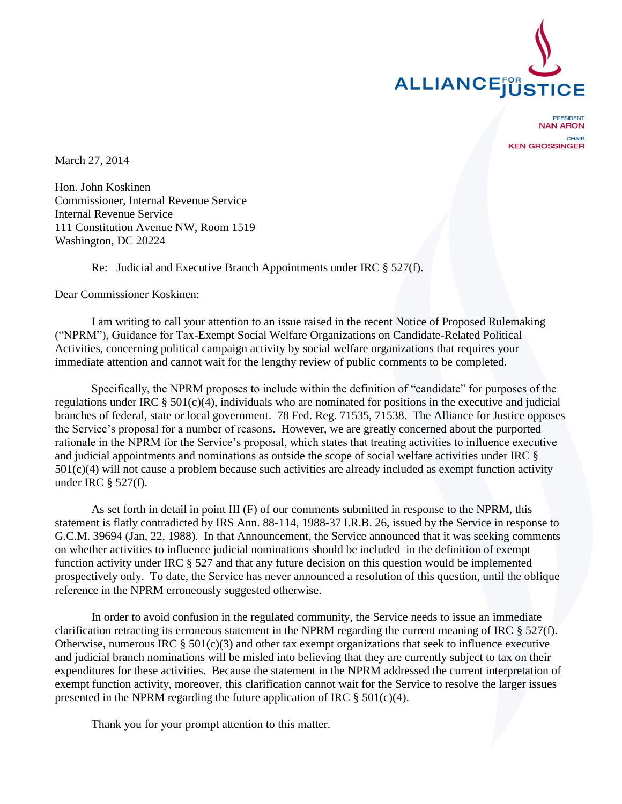

PRESIDENT **NAN ARON** CHAIR **KEN GROSSINGER** 

March 27, 2014

Hon. John Koskinen Commissioner, Internal Revenue Service Internal Revenue Service 111 Constitution Avenue NW, Room 1519 Washington, DC 20224

Re: Judicial and Executive Branch Appointments under IRC § 527(f).

Dear Commissioner Koskinen:

I am writing to call your attention to an issue raised in the recent Notice of Proposed Rulemaking ("NPRM"), Guidance for Tax-Exempt Social Welfare Organizations on Candidate-Related Political Activities, concerning political campaign activity by social welfare organizations that requires your immediate attention and cannot wait for the lengthy review of public comments to be completed.

Specifically, the NPRM proposes to include within the definition of "candidate" for purposes of the regulations under IRC § 501(c)(4), individuals who are nominated for positions in the executive and judicial branches of federal, state or local government. 78 Fed. Reg. 71535, 71538. The Alliance for Justice opposes the Service's proposal for a number of reasons. However, we are greatly concerned about the purported rationale in the NPRM for the Service's proposal, which states that treating activities to influence executive and judicial appointments and nominations as outside the scope of social welfare activities under IRC §  $501(c)(4)$  will not cause a problem because such activities are already included as exempt function activity under IRC § 527(f).

As set forth in detail in point III (F) of our comments submitted in response to the NPRM, this statement is flatly contradicted by IRS Ann. 88-114, 1988-37 I.R.B. 26, issued by the Service in response to G.C.M. 39694 (Jan, 22, 1988). In that Announcement, the Service announced that it was seeking comments on whether activities to influence judicial nominations should be included in the definition of exempt function activity under IRC § 527 and that any future decision on this question would be implemented prospectively only. To date, the Service has never announced a resolution of this question, until the oblique reference in the NPRM erroneously suggested otherwise.

In order to avoid confusion in the regulated community, the Service needs to issue an immediate clarification retracting its erroneous statement in the NPRM regarding the current meaning of IRC § 527(f). Otherwise, numerous IRC  $\S 501(c)(3)$  and other tax exempt organizations that seek to influence executive and judicial branch nominations will be misled into believing that they are currently subject to tax on their expenditures for these activities. Because the statement in the NPRM addressed the current interpretation of exempt function activity, moreover, this clarification cannot wait for the Service to resolve the larger issues presented in the NPRM regarding the future application of IRC  $\S$  501(c)(4).

Thank you for your prompt attention to this matter.